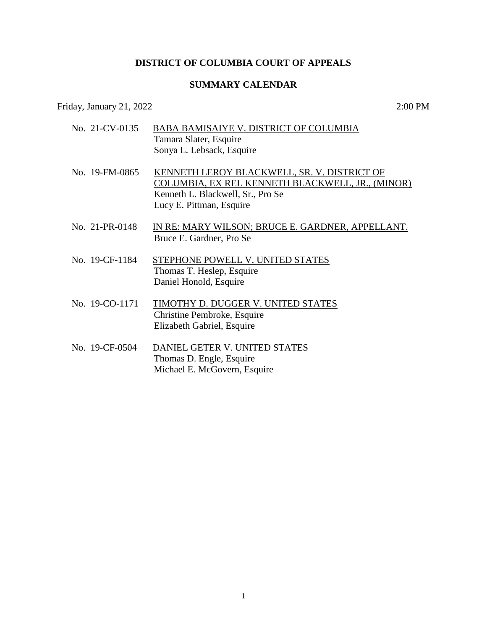## **DISTRICT OF COLUMBIA COURT OF APPEALS**

## **SUMMARY CALENDAR**

## Friday, January 21, 2022  $2:00 \text{ PM}$

- No. 21-CV-0135 BABA BAMISAIYE V. DISTRICT OF COLUMBIA Tamara Slater, Esquire Sonya L. Lebsack, Esquire No. 19-FM-0865 KENNETH LEROY BLACKWELL, SR. V. DISTRICT OF COLUMBIA, EX REL KENNETH BLACKWELL, JR., (MINOR) Kenneth L. Blackwell, Sr., Pro Se Lucy E. Pittman, Esquire No. 21-PR-0148 IN RE: MARY WILSON; BRUCE E. GARDNER, APPELLANT. Bruce E. Gardner, Pro Se No. 19-CF-1184 STEPHONE POWELL V. UNITED STATES Thomas T. Heslep, Esquire Daniel Honold, Esquire No. 19-CO-1171 TIMOTHY D. DUGGER V. UNITED STATES Christine Pembroke, Esquire
- No. 19-CF-0504 DANIEL GETER V. UNITED STATES Thomas D. Engle, Esquire Michael E. McGovern, Esquire

Elizabeth Gabriel, Esquire